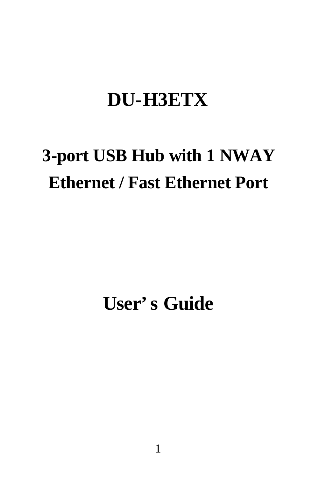## **DU-H3ETX**

# **3-port USB Hub with 1 NWAY Ethernet / Fast Ethernet Port**

# **User's Guide**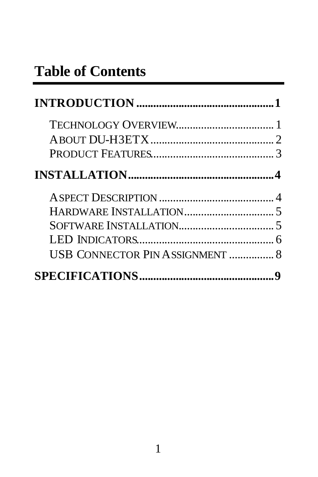## **Table of Contents**

| USB CONNECTOR PIN ASSIGNMENT  8 |  |
|---------------------------------|--|
|                                 |  |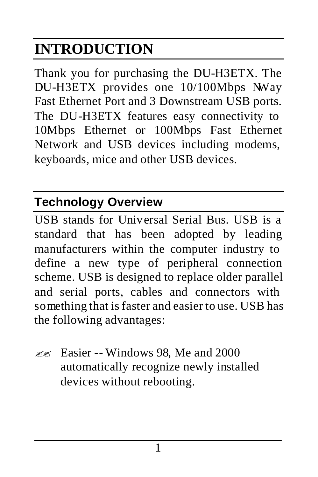# **INTRODUCTION**

Thank you for purchasing the DU-H3ETX. The DU-H3ETX provides one 10/100Mbps NWay Fast Ethernet Port and 3 Downstream USB ports. The DU-H3ETX features easy connectivity to 10Mbps Ethernet or 100Mbps Fast Ethernet Network and USB devices including modems, keyboards, mice and other USB devices.

### **Technology Overview**

USB stands for Universal Serial Bus. USB is a standard that has been adopted by leading manufacturers within the computer industry to define a new type of peripheral connection scheme. USB is designed to replace older parallel and serial ports, cables and connectors with something that is faster and easier to use. USB has the following advantages:

 $\ll$  Easier -- Windows 98, Me and 2000 automatically recognize newly installed devices without rebooting.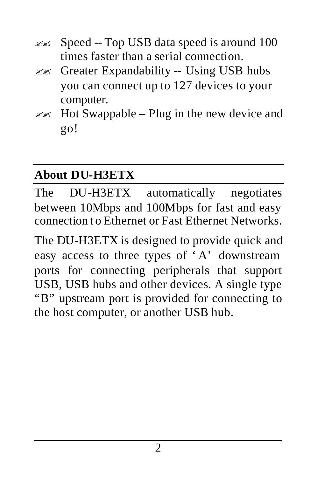- $\mathbb{Z}$  Speed -- Top USB data speed is around 100 times faster than a serial connection.
- $\mathbb{Z}$  Greater Expandability -- Using USB hubs you can connect up to 127 devices to your computer.
- $\mathbb{Z}$  Hot Swappable Plug in the new device and go!

#### **About DU-H3ETX**

The DU-H3ETX automatically negotiates between 10Mbps and 100Mbps for fast and easy connection t o Ethernet or Fast Ethernet Networks.

The DU-H3ETX is designed to provide quick and easy access to three types of 'A' downstream ports for connecting peripherals that support USB, USB hubs and other devices. A single type "B" upstream port is provided for connecting to the host computer, or another USB hub.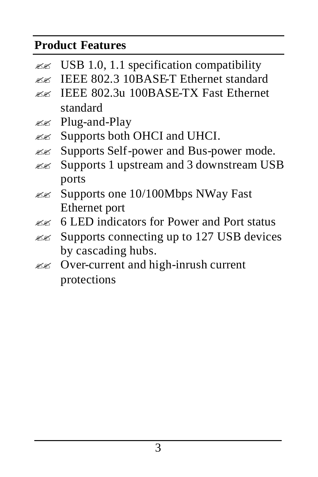#### **Product Features**

- $\text{ESB } 1.0$ , 1.1 specification compatibility
- $\mathbb{Z}$  IEEE 802.3 10BASE-T Ethernet standard
- $\ll$  IEEE 802.3u 100BASE-TX Fast Ethernet standard
- ?? Plug-and-Play
- $\mathbb{Z}$  Supports both OHCI and UHCI.
- ?? Supports Self-power and Bus-power mode.
- $\ll$  Supports 1 upstream and 3 downstream USB ports
- ?? Supports one 10/100Mbps NWay Fast Ethernet port
- $\ll$  6 LED indicators for Power and Port status
- $\mathbb{Z}$  Supports connecting up to 127 USB devices by cascading hubs.
- ?? Over-current and high-inrush current protections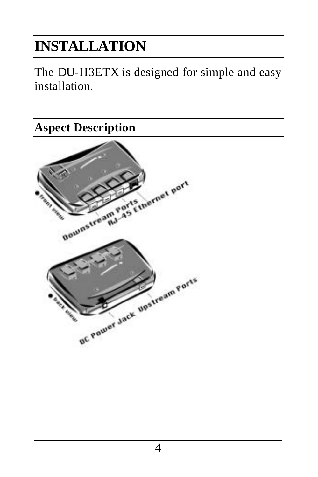## **INSTALLATION**

The DU-H3ETX is designed for simple and easy installation.

**Aspect Description**

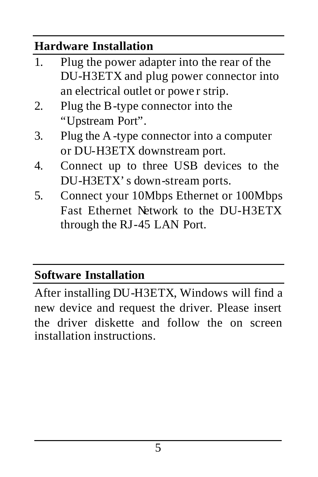#### **Hardware Installation**

- 1. Plug the power adapter into the rear of the DU-H3ETX and plug power connector into an electrical outlet or powe r strip.
- 2. Plug the B-type connector into the "Upstream Port".
- 3. Plug the A -type connector into a computer or DU-H3ETX downstream port.
- 4. Connect up to three USB devices to the DU-H3ETX's down-stream ports.
- 5. Connect your 10Mbps Ethernet or 100Mbps Fast Ethernet Network to the DU-H3ETX through the RJ-45 LAN Port.

#### **Software Installation**

After installing DU-H3ETX, Windows will find a new device and request the driver. Please insert the driver diskette and follow the on screen installation instructions.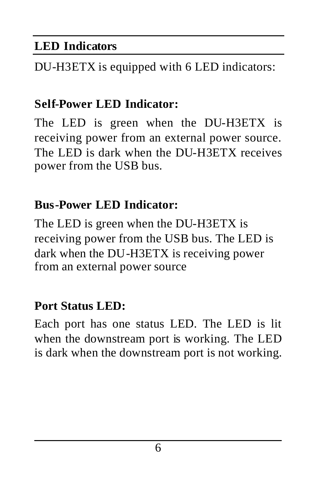#### **LED Indicators**

DU-H3ETX is equipped with 6 LED indicators:

#### **Self-Power LED Indicator:**

The LED is green when the DU-H3ETX is receiving power from an external power source. The LED is dark when the DU-H3ETX receives power from the USB bus.

#### **Bus-Power LED Indicator:**

The LED is green when the DU-H3ETX is receiving power from the USB bus. The LED is dark when the DU-H3ETX is receiving power from an external power source

#### **Port Status LED:**

Each port has one status LED. The LED is lit when the downstream port is working. The LED is dark when the downstream port is not working.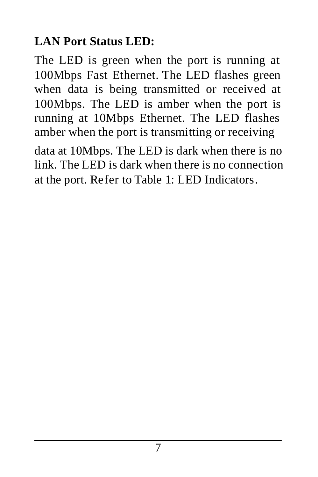### **LAN Port Status LED:**

The LED is green when the port is running at 100Mbps Fast Ethernet. The LED flashes green when data is being transmitted or received at 100Mbps. The LED is amber when the port is running at 10Mbps Ethernet. The LED flashes amber when the port is transmitting or receiving

data at 10Mbps. The LED is dark when there is no link. The LED is dark when there is no connection at the port. Refer to Table 1: LED Indicators.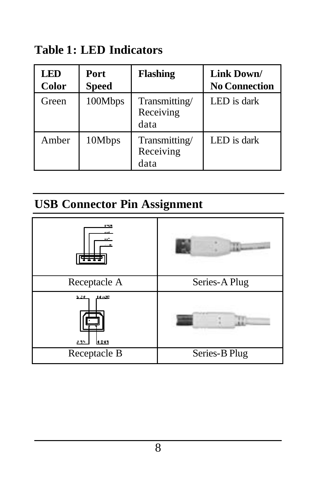**Table 1: LED Indicators**

| LED<br><b>Color</b> | Port<br><b>Speed</b> | Flashing                           | Link Down/<br><b>No Connection</b> |
|---------------------|----------------------|------------------------------------|------------------------------------|
| Green               | 100Mbps              | Transmitting/<br>Receiving<br>data | LED is dark                        |
| Amber               | 10Mbps               | Transmitting/<br>Receiving<br>data | LED is dark                        |

#### **USB Connector Pin Assignment**